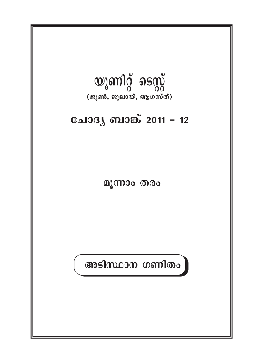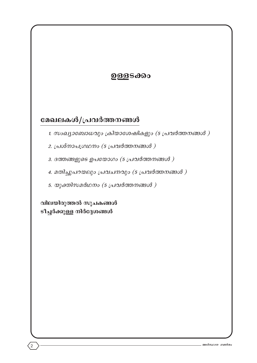# ഉള്ളടക്കം

# മേഖലകൾ/പ്രവർത്തനങ്ങൾ

- 1. സംഖ്യാബോധവും ക്രിയാശേഷികളും (5 പ്രവർത്തനങ്ങൾ )
- 2. പ്രശ്നാപഗ്രഥനം (5 പ്രവർത്തനങ്ങൾ )
- 3. ദത്തങ്ങളുടെ ഉപയോഗം (5 പ്രവർത്തനങ്ങൾ )
- 4. മതിച്ചുപറയലും പ്രവചനവും (5 പ്രവർത്തനങ്ങൾ )
- 5. യുക്തിസമർഥനം (5 പ്രവർത്തനങ്ങൾ )

വിലയിരുത്തൽ സുചകങ്ങൾ ടീച്ചർക്കുള്ള നിർദ്ദേശങ്ങൾ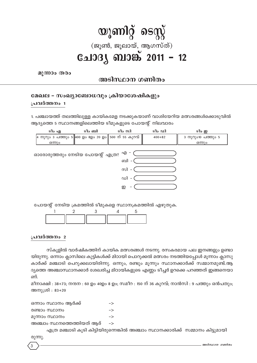# യൂണിറ്റ് ടെസ്റ്റ് (ജൂൺ, ജൂലായ്, ആഗസ്ത്) ചോദ്യ ബാങ്ക് 2011 – 12

മുന്നാം തരം

### അടിസ്ഥാന ഗണിതം

### മേഖല - സംഖ്യാബോധവും ക്രിയാശേഷികളും

### പ്രവർത്തനം 1

1. പഞ്ചായത്ത് തലത്തിലുള്ള കായികമേള നടക്കുകയാണ് വാശിയേറിയ മത്സരങ്ങൾക്കൊടുവിൽ ആദ്യത്തെ 5 സ്ഥാനങ്ങളിലെത്തിയ ടീമുകളുടെ പോയന്റ് നിലവാരം

| ടീം എ                                                  | ടീം ബി | ടീം സി | ടീം ഡി     | ടീം ഇ              |
|--------------------------------------------------------|--------|--------|------------|--------------------|
| 4 നൂറും 3 പത്തും 5  400 ഉം 8ഉം 20 ഉം   500 ന് 55 കുറവ് |        |        | $400 + 82$ | 3 നുറും10 പത്തും 5 |
| ഒന്നും                                                 |        |        |            | ഒന്നും             |
| ഓരോരുത്തരും നേടിയ പോയന്റ് എത്ര? <sup>എ –</sup>         |        |        |            |                    |

സി – (

ഡി – (

෩

ബി –

പോയന്റ് നേടിയ ക്രമത്തിൽ ടീമുകളെ സ്ഥാനക്രമത്തിൽ എഴുതുക.



### പ്രവർത്തനം 2

സ്കൂളിൽ വാർഷികത്തിന് കായിക മത്സരങ്ങൾ നടന്നു. രസകരമായ പല ഇനങ്ങളും ഉണ്ടാ യിരുന്നു. ഒന്നാം ക്ലാസിലെ കുട്ടികൾക്ക് മിഠായി പൊറുക്കൽ മത്സരം നടത്തിയപ്പോൾ മൂന്നാം ക്ലാസു കാർക്ക് മഞ്ചാടി പെറുക്കലായിരിന്നു. ഒന്നും, രണ്ടും മൂന്നും സ്ഥാനക്കാർക്ക് സമ്മാനമുണ്ട്.ആ ദ്യത്തെ അഞ്ചാസ്ഥാനക്കാർ ശേഖരിച്ച മിഠായികളുടെ എണ്ണം ടീച്ചർ ഉറക്കെ പറഞ്ഞത് ഇങ്ങനെയാ ണ്.

മീനാക്ഷി : 38+73; നന്ദന : 60 ഉം 40ഉം 8 ഉം; സമീറ : 150 ന് 36 കുറവ്; നാൻസി : 9 പത്തും ഒൻപതും; അനുശ്രി : 83+20

ഒന്നാം സ്ഥാനം ആർക്ക്  $\rightarrow$ രണ്ടാം സ്ഥാനം  $\rightarrow$ മൂന്നാം സ്ഥാനം  $\rightarrow$ അഞ്ചാം സ്ഥനത്തെത്തിയത് ആര്  $\rightarrow$ 

എത്ര മഞ്ചാടി കൂടി കിട്ടിയിരുന്നെങ്കിൽ അഞ്ചാം സ്ഥാനക്കാരിക്ക് സമ്മാനം കിട്ടുമായി

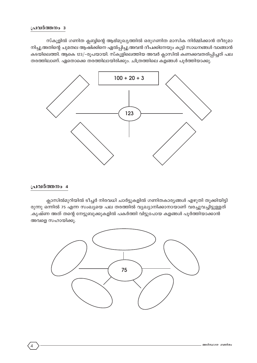### പ്രവർത്തനം 3

സ്കൂളിൽ ഗണിത ക്ലബ്ബിന്റെ ആഭിമുഖ്യത്തിൽ ഒരുഗണിത മാസിക നിർമ്മിക്കാൻ തീരുമാ നിച്ചു.അതിന്റെ ചുമതല ആഷിക്കിനെ ഏൽപ്പിച്ചു.അവൻ ദീപക്കിനേയും കൂട്ടി സാധനങ്ങൾ വാങ്ങാൻ കടയിലെത്തി. ആകെ 123/-രൂപയായി. സ്കൂളിലെത്തിയ അവർ ക്ലാസിൽ കണക്കവതരിപ്പിച്ചത് പല തരത്തിലാണ്. ഏതൊക്കെ തരത്തിലായിരിക്കും. ചിത്രത്തിലെ കളങ്ങൾ പൂർത്തിയാക്കു.



### പ്രവർത്തനം 4

ക്ലാസിൽമുറിയിൽ ടീച്ചർ നിരവധി ചാർട്ടുകളിൽ ഗണിതകാര്യങ്ങൾ എഴുതി തുക്കിയിട്ടി രുന്നു ഒന്നിൽ 75 എന്ന സംഖ്യയെ പല തരത്തിൽ വ്യഖ്യാനിക്കാനായാണ് വരച്ചുവച്ചിട്ടുള്ളത് .കൃഷ്ണ അത് തന്റെ നേട്ടുബുക്കുകളിൽ പകർത്തി വിട്ടുപോയ കളങ്ങൾ പൂർത്തിയാക്കാൻ അവളെ സഹായിക്കു.

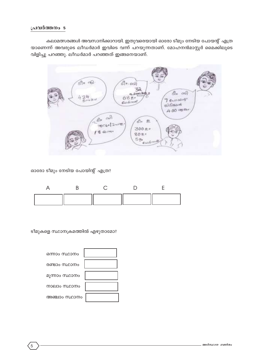കലാമത്സരങ്ങൾ അവസാനിക്കാറായി. ഇതുവരെയായി ഓരോ ടീമും നേടിയ പോയന്റ് എത്ര യാണെന്ന് അവരുടെ ലീഡർമാർ ഇവിടെ വന്ന് പറയുന്നതാണ്. മോഹനൻമാസ്റ്റർ മൈക്കിലൂടെ വിളിച്ചു പറഞ്ഞു. ലീഡർമാർ പറഞ്ഞത് ഇങ്ങനെയാണ്.



ഓരോ ടീമും നേടിയ പോയിന്റ് എത്ര?



ടീമുകളെ സ്ഥാനക്രമത്തിൽ എഴുതാമോ?

| ഒന്നാം സ്ഥാനം  |  |
|----------------|--|
| രണ്ടാം സ്ഥാനം  |  |
| മൂന്നാം സ്ഥാനം |  |
| നാലാം സ്ഥാനം   |  |
| അഞ്ചാം സ്ഥാനം  |  |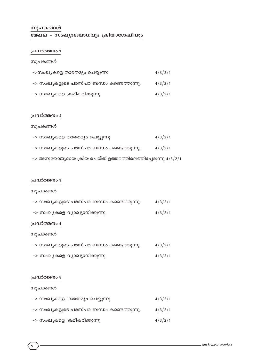### **പ്രവർത്തനം** 1

#### സൂചകങ്ങൾ

| ->സംഖ്യകളെ താരതമ്യം ചെയ്യുന്നു            | 4/3/2/1 |
|-------------------------------------------|---------|
| -> സംഖ്യകളുടെ പരസ്പര ബന്ധം കണ്ടെത്തുന്നു. | 4/3/2/1 |
| –> സംഖ്യകളെ ക്രമീകരിക്കുന്നു              | 4/3/2/1 |

### **പ്രവർത്തനം** 2

### സൂചകങ്ങൾ

| -> സംഖ്യകളെ താരതമ്യം ചെയ്യുന്നു | 4/3/2/1 |
|---------------------------------|---------|
|---------------------------------|---------|

- $\rightarrow$  സംഖൃകളുടെ പരസ്പര ബന്ധം കണ്ടെത്തുന്നു.  $\qquad\qquad 4/3/2/1$
- $\rightarrow$  അനുയോജ്യമായ ക്രിയ ചെയ്ത് ഉത്തരത്തിലെത്തിച്ചേരുന്നു 4/3/2/1

#### **പ്രവർത്തനം** 3

#### സുചകങ്ങൾ

| -> സംഖ്യകളുടെ പരസ്പര ബന്ധം കണ്ടെത്തുന്നു. | 4/3/2/1 |
|-------------------------------------------|---------|
| –> സംഖ്യകളെ വ്യാഖ്യാനിക്കുന്നു            | 4/3/2/1 |

#### **പ്രവർത്തനം** 4

സുചകങ്ങൾ

| -> സംഖ്യകളുടെ പരസ്പര ബന്ധം കണ്ടെത്തുന്നു. | 4/3/2/1 |
|-------------------------------------------|---------|
| –> സംഖ്യകളെ വ്യാഖ്യാനിക്കുന്നു            | 4/3/2/1 |

### **പ്രവർത്തനം** 5

### സൂചകങ്ങൾ

| -> സംഖ്യകളെ താരതമ്യം ചെയ്യുന്നു           | 4/3/2/1 |
|-------------------------------------------|---------|
| -> സംഖ്യകളുടെ പരസ്പര ബന്ധം കണ്ടെത്തുന്നു. | 4/3/2/1 |
| –> സംഖ്യകളെ ക്രമീകരിക്കുന്നു              | 4/3/2/1 |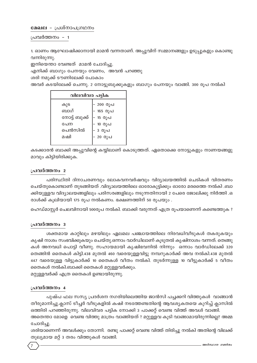### മേഖല - പ്രശ്നാപഗ്രഥനം

### പ്രവർത്തനം – 1

1. ഓണം ആഘോഷിക്കാനായി മാമൻ വന്നതാണ്. അപ്പുവിന് സമ്മാനങ്ങളും ഉടുപ്പുകളും കൊണ്ടു വന്നിരുന്നു.

ഇനിയെന്താ വേണ്ടത് മാമൻ ചോദിച്ചു.

എനിക്ക് ബാഗും പേനയും വേണം, അവൻ പറഞ്ഞു

ശരി നമുക്ക് ടൗണിലേക്ക് പോകാം

അവർ കടയിലേക്ക് ചെന്നു. 2 നോട്ടുബുക്കുകളും ബാഗും പേനയും വാങ്ങി. 300 രൂപ നൽകി

| വിലവിവര പട്ടിക |                                                           |  |  |
|----------------|-----------------------------------------------------------|--|--|
| കുട            |                                                           |  |  |
| ബാഗ്           | – 200 രൂപ<br>– 165 രൂപ<br>– 15 രൂപ<br>– 10 രൂപ<br>– 3 രൂപ |  |  |
| നോട്ട് ബുക്ക്  |                                                           |  |  |
| പേന            |                                                           |  |  |
| പെൻസിൽ         |                                                           |  |  |
| മഷി            | - 20 രൂപ                                                  |  |  |
|                |                                                           |  |  |

കടക്കാരൻ ബാക്കി അപ്പുവിന്റെ കയ്യിലാണ് കൊടുത്തത്. ഏതൊക്കെ നോട്ടുകളും നാണയങ്ങളു മാവും കിട്ടിയിരിക്കുക.

### പ്രവർത്തനം 2

പരിസ്ഥിതി ദിനാചരണവും ലോകവനവർഷവും വിദ്യാലയത്തിൽ ചെടികൾ വിതരണം ചെയ്തുകൊണ്ടാണ് തുടങ്ങിയത് .വിദ്യാലയത്തിലെ ഓരോകുട്ടിക്കും ഓരോ മരത്തെെ നൽകി .ബാ ക്കിയുള്ളവ വിദ്യാലയങ്ങളിലും പരിസരങ്ങളിലും നടുന്നതിനായി 2 പേരെ ജോലിക്കു നിർത്തി .ഒ രാൾക്ക് കൂലിയായി 175 രൂപ നൽകണം. ഭക്ഷണത്തിന് 50 രൂപയും .

ഹെഡ്മാസ്റ്റർ ചെലവിനായി 500രൂപ നൽകി. ബാക്കി വരുന്നത് എത്ര രൂപയാണെന്ന് കണ്ടെത്തുക ?

### പ്രവർത്തനം 3

ശക്തമായ കാറ്റിലും മഴയിലും ഏലമല പഞ്ചായത്തിലെ നിരവധിവീടുകൾ തകരുകയും കൃഷി നാശം സംഭവിക്കുകയും ചെയ്തു.ഒന്നാം വാർഡിലാണ് കൂടുതൽ കൃഷിനാശം വന്നത്. തെങ്ങു കൾ അനവധി പൊട്ടി വീണു. സഹായമായി കൃഷിഭവനിൽ നിന്നും ഒന്നാം വാർഡിലേക്ക് 320 തെങ്ങിൻ തൈകൾ കിട്ടി.438 മുതൽ 460 വരെയുള്ളവിട്ടു നമ്പറുകാർക്ക് അവ നൽകി.438 മുതൽ 447 വരെയുള്ള വിട്ടുകാർക്ക് 10 തൈകൾ വീതം നൽകി. തുടർന്നുള്ള 10 വീട്ടുകാർക്ക് 5 വീതം തൈകൾ നൽകി.ബാക്കി തൈകൾ മറ്റുള്ളവർക്കും.

മറ്റുള്ളവർക്ക് എത്ര തൈകൾ ഉണ്ടായിരുന്നു.

### പ്രവർത്തനം 4

പുഷ്പ ഫല സസ്യ പ്രദർശന നഗരിയിലെത്തിയ ജാൻസി പച്ചക്കറി വിത്തുകൾ വാങ്ങാൻ തീരുമാനിച്ചു.ക്ലാസ് ടീച്ചർ വീടുകളിൽ കഷി നടത്തേണ്ടതിന്റെ ആവശ്യകതയെ കുറിച്ച് ക്ലാസിൽ ഒത്തിരി പറഞ്ഞിരുന്നു. വിലവിവര പട്ടിക നോക്കി 3 പാക്കറ്റ് വെണ്ട വിത്ത് അവൾ വാങ്ങി.

അതെന്താ മോളെ വെണ്ട വിത്തു മാത്രം വാങ്ങിയത് ? മറ്റുള്ളവ കൂടി വാങ്ങാമായിരുന്നില്ലെ? അമ്മ ചോദിച്ചു.

ശരിയാണെന്ന് അവൾക്കും തോന്നി. രണ്ടു പാക്കറ്റ് വെണ്ട വിത്ത് തിരിച്ചു നൽകി അതിന്റെ വിലക്ക് തുല്യമായ മറ്റ് 3 തരം വിത്തുകൾ വാങ്ങി.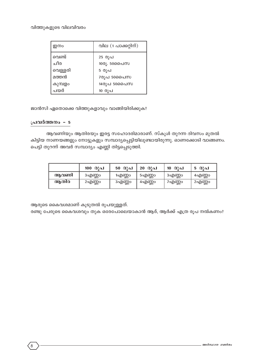### വിത്തുകളുടെ വിലവിവരം

| ഇനം            | വില $(1 \text{ and } 0)$ |
|----------------|--------------------------|
| വെണ്ട്         | 25 രൂപ                   |
| ചീര            | 10രൂ. 50പൈസ              |
| വെള്ളരി        | 5 രുപ                    |
| മത്തൻ          | 7രൂപ 50ൈപസ               |
| കുമ്പളം<br>പയർ | 14രൂപ 50ൈപസ              |
|                | 10 രൂപ                   |

ജാൻസി ഏതൊക്കെ വിത്തുകളാവും വാങ്ങിയിരിക്കുക?

### പ്രവർത്തനം - 5

ആവണിയും ആതിരയും ഇരട്ട സഹോദരിമാരാണ്. സ്കൂൾ തുറന്ന ദിവസം മുതൽ കിട്ടിയ നാണയങ്ങളും നോട്ടുകളും സമ്പാദ്യപ്പെട്ടിയിലുണ്ടായിരുന്നു. ഓണക്കോടി വാങ്ങണം. പെട്ടി തുറന്ന് അവർ സമ്പാദ്യം എണ്ണി തിട്ടപ്പെടുത്തി.

|      | 100 രൂപ | 50 രൂപ | 20 രൂപ | 10 രൂപ | 5 രൂപ  |
|------|---------|--------|--------|--------|--------|
| ആവണി | 3എണ്ണം  | 1എണ്ണാ | 5എണ്ണം | 3എണ്ണം | 4എണ്ണം |
| ആതിര | 2എണ്ണം  | 3എണ്ണം | 4എണ്ണം | 7എണ്ണം | 2എണ്ണം |

ആരുടെ കൈവശമാണ് കൂടുതൽ രൂപയുള്ളത്. രണ്ടു പേരുടെ കൈവശവും തുക ഒരേപോലെയാകാൻ ആര്, ആർക്ക് എത്ര രൂപ നൽകണം?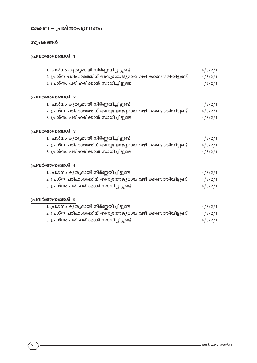## മേഖല - പ്രശ്നാപഗ്രഥനം

### സൂചകങ്ങൾ

### **{പവർത്തനങ്ങൾ** 1

| 1. പ്രശ്നം കൃത്യമായി നിർണ്ണയിച്ചിട്ടുണ്ട്                  | 4/3/2/1 |
|------------------------------------------------------------|---------|
| 2. പ്രശ്ന പരിഹാരത്തിന് അനുയോജ്യമായ വഴി കണ്ടെത്തിയിട്ടുണ്ട് | 4/3/2/1 |
| 3. പ്രശ്നം പരിഹരിക്കാൻ സാധിച്ചിട്ടുണ്ട്                    | 4/3/2/1 |
| പ്രവർത്തനങ്ങൾ 2                                            |         |
| 1. പ്രശ്നം കൃത്യമായി നിർണ്ണയിച്ചിട്ടുണ്ട്                  | 4/3/2/1 |
| 2. പ്രശ്ന പരിഹാരത്തിന് അനുയോജ്യമായ വഴി കണ്ടെത്തിയിട്ടുണ്ട് | 4/3/2/1 |
| 3. പ്രശ്നം പരിഹരിക്കാൻ സാധിച്ചിട്ടുണ്ട്                    | 4/3/2/1 |
| പ്രവർത്തനങ്ങൾ ദ                                            |         |
| 1. പ്രശ്നം കൃത്യമായി നിർണ്ണയിച്ചിട്ടുണ്ട്                  | 4/3/2/1 |
| 2. പ്രശ്ന പരിഹാരത്തിന് അനുയോജ്യമായ വഴി കണ്ടെത്തിയിട്ടുണ്ട് | 4/3/2/1 |
| 3. പ്രശ്നം പരിഹരിക്കാൻ സാധിച്ചിട്ടുണ്ട്                    | 4/3/2/1 |
| പ്രവർത്തനങ്ങൾ 4                                            |         |
| 1. പ്രശ്നം കൃത്യമായി നിർണ്ണയിച്ചിട്ടുണ്ട്                  | 4/3/2/1 |
| 2. പ്രശ്ന പരിഹാരത്തിന് അനുയോജ്യമായ വഴി കണ്ടെത്തിയിട്ടുണ്ട് | 4/3/2/1 |
| 3. പ്രശ്നം പരിഹരിക്കാൻ സാധിച്ചിട്ടുണ്ട്                    | 4/3/2/1 |
| പ്രവർത്തനങ്ങൾ 5                                            |         |
| 1. പ്രശ്നം കൃത്യമായി നിർണ്ണയിച്ചിട്ടുണ്ട്                  | 4/3/2/1 |
| 2. പ്രശ്ന പരിഹാരത്തിന് അനുയോജ്യമായ വഴി കണ്ടെത്തിയിട്ടുണ്ട് | 4/3/2/1 |
| 3. പ്രശ്നം പരിഹരിക്കാൻ സാധിച്ചിട്ടുണ്ട്                    | 4/3/2/1 |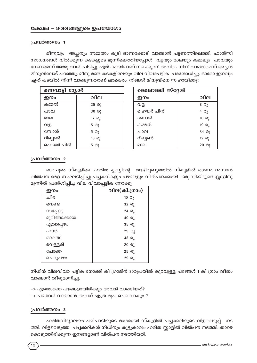### മേഖല - ദത്തങ്ങളുടെ ഉപയോഗം

### പ്രവർത്തനം 1

മീനുവും അച്ഛനും അമ്മയും കൂടി ഓണക്കോടി വാങ്ങാൻ പട്ടണത്തിലെത്തി. ഫാൻസി സാധനങ്ങൾ വിൽക്കുന്ന കടകളുടെ മുന്നിലെത്തിയപ്പോൾ വളയും മാലയും കമ്മലും പാവയും വേണമെന്ന് അമ്മു വാശി പിടിച്ചു. ഏത് കടയിലാണ് വിലക്കുറവ് അവിടെ നിന്ന് വാങ്ങാമെന്ന് അച്ഛൻ മീനുവിലോട് പറഞ്ഞു. മീനു രണ്ട് കടകളിലേയും വില വിവരപട്ടിക പരശോധിച്ചു. ഓരോ ഇനവും ഏത് കടയിൽ നിന്ന് വാങ്ങുന്നതാണ് ലാഭകരം. നിങ്ങൾ മീനുവിനെ സഹായിക്കൂ?

| മണവാട്ടി സ്റ്റോർ |               |  |
|------------------|---------------|--|
| ഇനം              | വില           |  |
| കമ്മൽ            | $25 \Omega$   |  |
| പാവ              | $30 \Omega$   |  |
| മാല              | 17 $\omega$   |  |
| വള               | $5 \Omega$    |  |
| ബോൾ              | $5 \Omega$    |  |
| റിബ്ബൺ           | $10 \ \Omega$ |  |
| ഹെയർ പിൻ         | 5.<br>രു      |  |

| മൈലാഞ്ചി സ്റ്റോർ |                |  |  |
|------------------|----------------|--|--|
| ഇനം              | വില            |  |  |
| വള               | 8 (0)          |  |  |
| ഹെയർ പിൻ         | $4 \Omega$     |  |  |
| ബോൾ              | $10 \ \Omega$  |  |  |
| കമ്മൽ            | 19 $\omega$    |  |  |
| പാവ              | $34 \Omega$    |  |  |
| റിബ്ബൺ           | 12 $\omega$    |  |  |
| മാല              | $\omega$<br>20 |  |  |

### പ്രവർത്തനം 2

രാമപുരം സ്കൂളിലെ ഹരിത ക്ലബ്ബിന്റെ ആഭിമുഖ്യത്തിൽ സ്കുളിൽ ഓണം റംസാൻ വിൽപന മേള സംഘടിപ്പിച്ചു.പച്ചകറികളും പഴങ്ങളും വിൽപനക്കായി ഒരുക്കിയിട്ടുണ്ട്.സ്റ്റാളിനു മുന്നിൽ പ്രദർശിപ്പിച്ച വില വിവരപ്പട്ടിക നോക്കു

| ഇനം           | വില(കി.ഗ്രാം) |
|---------------|---------------|
| ചീര           | $10 \Omega$   |
| വെണ്ട         | 32 Q)         |
| ကၾေပဒ         | $24 \Omega$   |
| മുരിങ്ങാക്കായ | $40 \Omega$   |
| ഏത്തപ്പഴം     | $35 \Omega$   |
| പയർ           | $29 \Omega$   |
| ഓറഞ്ച്        | $48 \Omega$   |
| വെള്ളരി       | $20 \Omega$   |
| പേരക്ക        | $25 \Omega$   |
| ചെറുപഴം       | $29 \Omega$   |

നിധിൻ വിലവിവര പട്ടിക നോക്കി കി ഗ്രാമിന് 30രുപയിൽ കുറവുള്ള പഴങ്ങൾ 1 കി ഗ്രാം വീതം വാങ്ങാൻ തീരുമാനിച്ചു.

-> ഏതൊക്കെ പഴങ്ങളായിരിക്കും അവൻ വാങ്ങിയത്?

-> പഴങ്ങൾ വാങ്ങാൻ അവന് എത്ര രൂപ ചെലവാകും ?

### പ്രവർത്തനം 3

ഹരിതവിദ്യാലയം പരിപാടിയുടെ ഭാഗമായി സ്കൂളിൽ പച്ചക്കറിയുടെ വിളവെടുപ്പ് നട ത്തി. വിളവെടുത്ത പച്ചക്കറികൾ നിധിനും കുട്ടുകാരും ഹരിത സ്കാളിൽ വിൽപന നടത്തി. താഴെ കൊടുത്തിരിക്കുന്ന ഇനങ്ങളാണ് വിൽപന നടത്തിയത്.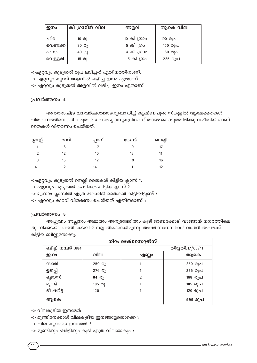| ഇനം      | 'കി ഗ്രാമിന് വില | അളവ്        | ആകെ വില |
|----------|------------------|-------------|---------|
| ചീര      | $10 \Omega$      | 10 കി ഗ്രാം | 100 രൂപ |
| വെണ്ടക്ക | $30 \Omega$      | 5 കി ഗ്രം   | 150 രൂപ |
| പയർ      | $40 \Omega$      | 4 കി ഗ്രാം  | 160 രൂപ |
| വെള്ളരി  | 15 $\omega$      | 15 കി ഗ്രം  | 225 രൂപ |

->ഏറ്റവും കൂടുതൽ രൂപ ലഭിച്ചത് ഏതിനത്തിനാണ്.

-> ഏറ്റവും കുറവ് അളവിൽ ലഭിച്ച ഇനം ഏതാണ്

-> ഏറ്റവും കൂടുതൽ അളവിൽ ലഭിച്ച ഇനം ഏതാണ്.

### പ്രവർത്തനം 4

അന്താരാഷ്ട്ര വനവർഷത്തോടനുബന്ധിച്ച് കൃഷ്ണപുരം സ്കൂളിൽ വൃക്ഷതൈകൾ വിതരണത്തിനെത്തി .1 മുതൽ 4 വരെ ക്ലാസുകളിലേക്ക് താഴെ കൊടുത്തിരിക്കുന്നരീതിയിലാണ് തൈകൾ വിതരണം ചെയ്തത്.

| ക്ലാസ്സ് | മാവ് | പ്ലാവ് | തേക്ക് | നെല്ലി |
|----------|------|--------|--------|--------|
|          | 16   |        | 10     | 17     |
| 2        | 12   | 10     | 13     | 11     |
| 3        | 15   | 12     | 9      | 16     |
| 4        | 12   | 14     | 11     | 12     |

->ഏറ്റവും കൂടുതൽ നെല്ലി തൈകൾ കിട്ടിയ ക്ലാസ് ?.

-> ഏറ്റവും കൂടുതൽ ചെടികൾ കിട്ടിയ ക്ലാസ് ?

-> മൂന്നാം ക്ലാസിൽ എത്ര തേക്കിൻ തൈകൾ കിട്ടിയിട്ടുണ്ട് ?

-> ഏറ്റവും കുറവ് വിതരണം ചെയ്തത് ഏതിനമാണ് ?

### പ്രവർത്തനം 5

അപ്പുവും അച്ഛനും അമ്മയും അനുജത്തിയും കൂടി ഓണക്കോടി വാങ്ങാൻ നഗരത്തിലെ തുണിക്കടയിലെത്തി. കടയിൽ നല്ല തിരക്കായിരുന്നു. അവർ സാധനങ്ങൾ വാങ്ങി അവർക്ക് കിട്ടിയ ബില്ലുനോക്കു.

| ouv<br>നിറം ടെക്സൈറ്റൽസ് |                            |                |                   |  |
|--------------------------|----------------------------|----------------|-------------------|--|
| ബില്ല് നമ്പർ :684        |                            |                | തിയ്യതി: 17/08/11 |  |
| ഇനം                      | വില                        | എണ്ണം          | ആകെ               |  |
| സാരി                     | 250 $\omega$               |                | 250 രൂപ           |  |
| ഉടുപ്പ്                  | $276 \; \text{\o}$         |                | 276 രൂപ           |  |
| ബ്ലൗസ്                   | $84 \quad \textcircled{2}$ | $\overline{2}$ | 168 രുപ           |  |
| മുണ്ട്                   | 185 $\omega$               |                | 185 രൂപ           |  |
| ടീ ഷർട്ട്                | 120                        |                | 120 രൂപ           |  |
| ആകെ                      |                            |                | 999 രൂപ           |  |

-> വിലകുടിയ ഇനമേത്

-> മുണ്ടിനേക്കാൾ വിലകൂടിയ ഇനങ്ങളേതൊക്കെ ?

 $\rightarrow$  വില കുറഞ്ഞ ഇനമേത് ?

-> മുണ്ടിനും ഷർട്ടിനും കൂടി എത്ര വിലയാകും ?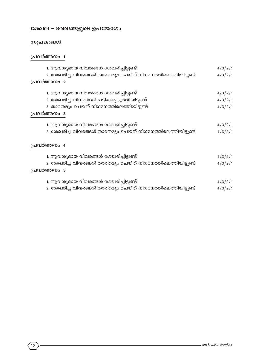### മേഖല - ദത്തങ്ങളുടെ ഉപയോഗം

### സൂചകങ്ങൾ

### പ്രവർത്തനം 1

| 1. ആവശ്യമായ വിവരങ്ങൾ ശേഖരിച്ചിട്ടുണ്ട്                         | 4/3/2/1 |
|----------------------------------------------------------------|---------|
| 2. ശേഖരിച്ച വിവരങ്ങൾ താരതമ്യം ചെയ്ത് നിഗമനത്തിലെത്തിയിട്ടുണ്ട് |         |
| പ്രവർത്തനം 2                                                   |         |
| 1. ആവശ്യമായ വിവരങ്ങൾ ശേഖരിച്ചിട്ടുണ്ട്                         | 4/3/2/1 |
| 2. ശേഖരിച്ച വിവരങ്ങൾ പട്ടികപ്പെടുത്തിയിട്ടുണ്ട്                | 4/3/2/1 |
| 3. താരതമൃം ചെയ്ത് നിഗമനത്തിലെത്തിയിട്ടുണ്ട്                    | 4/3/2/1 |
| പ്രവർത്തനം ദ                                                   |         |
| 1. ആവശ്യമായ വിവരങ്ങൾ ശേഖരിച്ചിട്ടുണ്ട്                         | 4/3/2/1 |
| 2. ശേഖരിച്ച വിവരങ്ങൾ താരതമ്യം ചെയ്ത് നിഗമനത്തിലെത്തിയിട്ടുണ്ട് | 4/3/2/1 |
| പ്രവർത്തനം 4                                                   |         |
| 1. ആവശ്യമായ വിവരങ്ങൾ ശേഖരിച്ചിട്ടുണ്ട്                         | 4/3/2/1 |
| 2. ശേഖരിച്ച വിവരങ്ങൾ താരതമ്യം ചെയ്ത് നിഗമനത്തിലെത്തിയിട്ടുണ്ട് | 4/3/2/1 |
| പ്രവർത്തനം 5                                                   |         |
| 1. ആവശ്യമായ വിവരങ്ങൾ ശേഖരിച്ചിട്ടുണ്ട്                         | 4/3/2/1 |
| 2. ശേഖരിച്ച വിവരങ്ങൾ താരതമ്യം ചെയ്ത് നിഗമനത്തിലെത്തിയിട്ടുണ്ട് | 4/3/2/1 |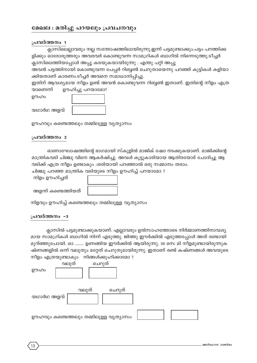### മേഖല : മതിച്ചു പറയലും പ്രവചനവും

### പ്രവർത്തനം 1

ക്ലാസിലെല്ലാവരും നല്ല സന്തോഷത്തിലായിരുന്നു.ഇന്ന് പട്ടമുണ്ടാക്കും.പട്ടം പറത്തിക്ക ളിക്കും ഓരോരുത്തരും അവരവർ കൊണ്ടുവന്ന സാമഗ്രികൾ ബാഗിൽ നിന്നെടുത്തു.ടീച്ചർ ക്ലാസിലെത്തിയപ്പോൾ അപ്പു കരയുകയായിരുന്നു . എന്തു പറ്റി അപ്പൂ

അവൻ പട്ടത്തിനായി കൊണ്ടുവന്ന പേപ്പർ റിബ്ബൺ ചെറുതായെന്നു പറഞ്ഞ് കുട്ടികൾ കളിയാ ക്കിയതാണ് കാരണം.ടീച്ചർ അവനെ സമാധാനിപ്പിച്ചു.

ഇതിന് ആവശ്യമായ നീളം ഉണ്ട് അവൻ കൊണ്ടുവന്ന റിബ്ബൺ ഇതാണ്. ഇതിന്റെ നീളം എത്ര യാണെന്ന്

|--|

| ഊഹിച്ചു പറയാമോ' |
|-----------------|
|-----------------|

| . . |  |
|-----|--|

യഥാർഥ അളവ്

ഊഹവും കണ്ടെത്തലും തമ്മിലുള്ള വൃത്യാസം

### പ്രവർത്തനം 2

ഓണാഘോഷത്തിന്റെ ഭാഗമായി സ്കുളിൽ മാജിക് ഷോ നടക്കുകയാണ്. മാജിക്കിന്റെ മാന്ത്രികവടി ചിഞ്ചു വിനെ ആകർഷിച്ചു. അവൾ കൂട്ടുകാരിയായ ആതിരയോട് ചോദിച്ചു ആ വടിക്ക് എത്ര നീളം ഉണ്ടാകും .ശരിയായി പറഞ്ഞാൽ ഒരു സമ്മാനം തരാം.

ചിഞ്ചു പറഞ്ഞ മാന്ത്രിക വടിയുടെ നീളം ഊഹിച്ച് പറയാമോ ?

നിളം ഊഹിച്ചത്

അളന്ന് കണ്ടെത്തിയത്



നിളവും ഊഹിച്ച് കണ്ടെത്തലും തമ്മിലുള്ള വൃത്യാസം

### ച്രവർത്തനം -з

ക്ലാസിൽ പട്ടമുണ്ടാക്കുകയാണ്. എല്ലാവരും ഉൽസാഹത്തോടെ നിർമ്മാണത്തിനാവശ്യ മായ സാമഗ്രികൾ ബാഗിൽ നിന്ന് എടുത്തു. ജിത്തു ഈർക്കിൽ എടുത്തപ്പോൾ അത് രണ്ടായി മുറിഞ്ഞുപോയി. ഓ ........ ഉണങ്ങിയ ഈർക്കിൽ ആയിരുന്നു. 30 സെ മി നീളമുണ്ടായിരുന്നുക ഷ്ണങ്ങളിൽ ഒന്ന് വലുതും മറ്റേത് ചെറുതുമായിരുന്നു. ഇതാണ് രണ്ട് കഷ്ണങ്ങൾ അവയുടെ നീളം എത്രയുണ്ടാകും നിങ്ങൾക്കുഹിക്കാമോ ?

| ഊഹം        | വലുത് | ചെറുത്                                |  |
|------------|-------|---------------------------------------|--|
| യഥാർഥ അളവ് | വലുത് | ചെറുത്                                |  |
|            |       | ഊഹവും കണ്ടെത്തലും തമ്മിലുള്ള വൃത്യാസം |  |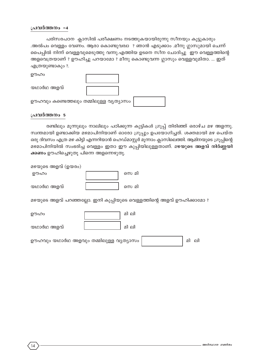### പ്രവർത്തനം -4

പരിസരപഠന ക്ലാസിൽ പരീക്ഷണം നടത്തുകയായിരുന്നു സീനയും കൂട്ടുകാരും .അൽപം വെള്ളം വേണം. ആരാ കൊണ്ടുവര്വാ ? ഞാൻ എടുക്കാം .മീനു ഗ്ലാസുമായി ചെന്ന് പൈപ്പിൽ നിന്ന് വെള്ളവുമെടുത്തു വന്നു.എത്തിയ ഉടനെ സീന ചോദിച്ചു ഈ വെള്ളത്തിന്റെ അളവെത്രയാണ് ? ഊഹിച്ചു പറയാമോ ? മീനു കൊണ്ടുവന്ന ഗ്ലാസും വെള്ളവുമിതാ. ... ഇത് എത്രയുണ്ടാകും ?.

| ഊഹം                                   |  |  |
|---------------------------------------|--|--|
| യഥാർഥ അളവ്                            |  |  |
| ഊഹവും കണ്ടെത്തലും തമ്മിലുള്ള വൃത്യാസം |  |  |

### പ്രവർത്തനം 5

രണ്ടിലും മൂന്നുലും നാലിലും പഠിക്കുന്ന കുട്ടികൾ ഗ്രൂപ്പ് തിരിഞ്ഞ് ഒരാഴ്ച മഴ അളന്നു. സ്വന്തമായി ഉണ്ടാക്കിയ മഴമാപിനിയാണ് ഓരോ ഗ്രൂപ്പും ഉപയോഗിച്ചത്. ശക്തമായി മഴ പെയ്ത ഒരു ദിവസം എത്ര മഴ കിട്ടി എന്നറിയാൻ ഹെഡ്മാസ്റ്റർ മൂന്നാം ക്ലാസിലെത്തി. ആമിനയുടെ ഗ്രൂപ്പിന്റെ മഴമാപിനിയിൽ സംഭരിച്ച വെള്ളം ഇതാ ഈ കുപ്പിയിലുള്ളതാണ്. മഴയുടെ അളവ് നിർണ്ണയി ക്കണം ഊഹിച്ചെഴുതു പിന്നെ അളന്നെഴുതു.

| മഴയുടെ അളവ് (ഉയരം)                                                   |  |       |          |  |  |
|----------------------------------------------------------------------|--|-------|----------|--|--|
| ഊഹം                                                                  |  | സെ മി |          |  |  |
| യഥാർഥ അളവ്                                                           |  | സെ മി |          |  |  |
| മഴയുടെ അളവ് പറഞ്ഞല്ലോ. ഇനി കുപ്പിയുടെ വെള്ളത്തിന്റെ അളവ് ഊഹിക്കാമോ ? |  |       |          |  |  |
| ഊഹം                                                                  |  | മി ലി |          |  |  |
| യഥാർഥ അളവ്                                                           |  | മി ലി |          |  |  |
| ഊഹവും യഥാർഥ അളവും തമ്മിലുള്ള വ്യത്യാസം                               |  |       | മി<br>ലി |  |  |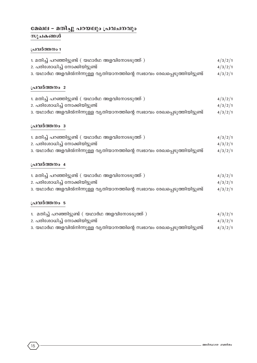### മേഖല - മതിച്ചു പറയലും പ്രവചനവും

### <u>സൂചകങ്ങൾ</u>

### **്രചവർത്തനം** 1

| 1. മതിച്ച് പറഞ്ഞിട്ടുണ്ട് ( യഥാർഥ അളവിനോടടുത്ത് )                        | 4/3/2/1<br>4/3/2/1 |  |
|--------------------------------------------------------------------------|--------------------|--|
| 2. പരിശോധിച്ച് നോക്കിയിട്ടുണ്ട്                                          |                    |  |
| 3. യഥാർഥ അളവിൽനിന്നുള്ള വൃതിയാനത്തിന്റെ സ്വഭാവം രേഖപ്പെടുത്തിയിട്ടുണ്ട്  | 4/3/2/1            |  |
| പ്രവർത്തനം 2                                                             |                    |  |
| 1. മതിച്ച് പറഞ്ഞിട്ടുണ്ട് ( യഥാർഥ അളവിനോടടുത്ത് )                        | 4/3/2/1            |  |
| 2. പരിശോധിച്ച് നോക്കിയിട്ടുണ്ട്                                          | 4/3/2/1            |  |
| 3. യഥാർഥ അളവിൽനിന്നുള്ള വൃതിയാനത്തിന്റെ സ്വഭാവം രേഖപ്പെടുത്തിയിട്ടുണ്ട്  | 4/3/2/1            |  |
| പ്രവർത്തനം 3                                                             |                    |  |
| 1. മതിച്ച് പറഞ്ഞിട്ടുണ്ട് ( യഥാർഥ അളവിനോടടുത്ത് )                        | 4/3/2/1            |  |
| 2. പരിശോധിച്ച് നോക്കിയിട്ടുണ്ട്                                          | 4/3/2/1            |  |
| 3. യഥാർഥ അളവിൽനിന്നുള്ള വ്യതിയാനത്തിന്റെ സ്വഭാവം രേഖപ്പെടുത്തിയിട്ടുണ്ട് | 4/3/2/1            |  |
| പ്രവർത്തനം 4                                                             |                    |  |
| 1. മതിച്ച് പറഞ്ഞിട്ടുണ്ട് ( യഥാർഥ അളവിനോടടുത്ത് )                        | 4/3/2/1            |  |
| 2. പരിശോധിച്ച് നോക്കിയിട്ടുണ്ട്                                          | 4/3/2/1            |  |
| 3. യഥാർഥ അളവിൽനിന്നുള്ള വ്യതിയാനത്തിന്റെ സ്വഭാവം രേഖപ്പെടുത്തിയിട്ടുണ്ട് | 4/3/2/1            |  |
| പ്രവർത്തനം 5                                                             |                    |  |
| 1. മതിച്ച് പറഞ്ഞിട്ടുണ്ട് ( യഥാർഥ അളവിനോടടുത്ത് )                        | 4/3/2/1            |  |
| 2. പരിശോധിച്ച് നോക്കിയിട്ടുണ്ട്                                          |                    |  |
| 3. യഥാർഥ അളവിൽനിന്നുള്ള വ്യതിയാനത്തിന്റെ സ്വഭാവം രേഖപ്പെടുത്തിയിട്ടുണ്ട് |                    |  |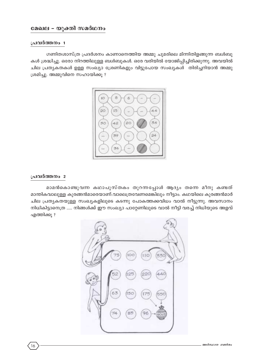### പ്രവർത്തനം 1

ഗണിതശാസ്ത്ര പ്രദർശനം കാണാനെത്തിയ അമ്മു ചുമരിലെ മിന്നിതിളങ്ങുന്ന ബൾബു കൾ ശ്രദ്ധിച്ചു. ഒരോ നിറത്തിലുള്ള ബൾബുകൾ. ഒരേ വരിയിൽ യോജിപ്പിച്ചിരിക്കുന്നു. അവയിൽ ചില പ്രത്യകതകൾ ഉള്ള സംഖ്യാ ശ്രേണികളും വിട്ടുപോയ സംഖ്യകൾ തിരിച്ചറിയാൻ അമ്മു ശ്രമിച്ചു. അമ്മുവിനെ സഹായിക്കൂ ?



### പ്രവർത്തനം 2

മാമൻകൊണ്ടുവന്ന കഥാപുസ്തകം തുറന്നപ്പോൾ ആദ്യം തന്നെ മീനു കണ്ടത് മാന്തികവാലുള്ള കുരങ്ങൻമാരെയാണ്.വാലെത്രവേണമെങ്കിലും നീട്ടാം. കഥയിലെ കുരങ്ങൻമാർ ചില പ്രത്യകതയുള്ള സംഖ്യകളിലുടെ കടന്നു പോകത്തക്കവിധം വാൽ നീട്ടുന്നു. അവസാനം നിധികിട്ടാനെത്ര ..... നിങ്ങൾക്ക് ഈ സംഖ്യാ പാറ്റേണിലുടെ വാൽ നീട്ടി വരച്ച് നിധിയുടെ അളവ് എത്തിക്കു ?

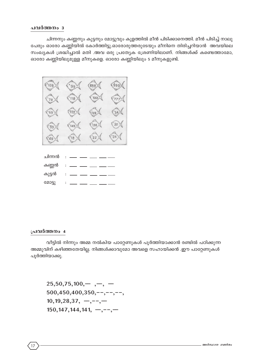### പവർത്തനം 3

ചിന്നനും കണ്ണനും കുട്ടനും മോട്ടുവും കുളത്തിൽ മീൻ പിടിക്കാനെത്തി. മീൻ പിടിച്ച് നാലു പേരും ഓരോ കണ്ണിയിൽ കോർത്തിട്ടു.ഓരോരുത്തരുടേയും മീനിനെ തിരിച്ചറിയാൻ അവയിലെ സംഖ്യകൾ ശ്രദ്ധിച്ചാൽ മതി .അവ ഒരു പ്രത്യേക ശ്രേണിയിലാണ്. നിങ്ങൾക്ക് കണ്ടെത്താമോ, ഓരോ കണ്ണിയിലുമുള്ള മീനുകളെ. ഓരോ കണ്ണിയിലും 5 മീനുകളുണ്ട്.



| കണ്ണൻ  | $\sim 100$ |  |
|--------|------------|--|
| കുട്ടൻ | $\sim$ 1.  |  |
| മോട്ടു |            |  |

### പ്രവർത്തനം 4

വീട്ടിൽ നിന്നും അമ്മ നൽകിയ പാറ്റേണുകൾ പൂർത്തിയാക്കാൻ രണ്ടിൽ പഠിക്കുന്ന അമ്മുവിന് കഴിഞ്ഞതേയില്ല. നിങ്ങൾക്കാവുമോ അവളെ സഹായിക്കൻ .ഈ പാറ്റേണുകൾ പൂർത്തിയാക്കു.

 $25,50,75,100, -$ , -, - $500,450,400,350,-,-,-,-, 10,19,28,37, -,-, 150, 147, 144, 141, -,-,-,-$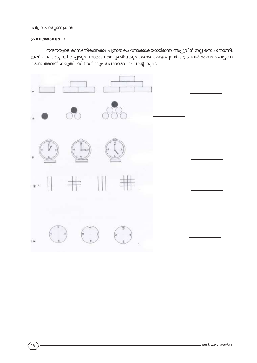### ചിത്ര പാറ്റേണുകൾ

### പ്രവർത്തനം 5

നന്ദനയുടെ കുസൃതികണക്കു പുസ്തകം നോക്കുകയായിരുന്ന അപ്പുവിന് നല്ല രസം തോന്നി. ഇഷ്ടിക അടുക്കി വച്ചതും നാരങ്ങ അടുക്കിയതും ഒക്കെ കണ്ടപ്പോൾ ആ പ്രവർത്തനം ചെയ്യണ മെന്ന് അവൻ കരുതി. നിങ്ങൾക്കും ചേരാമോ അവന്റെ കൂടെ.

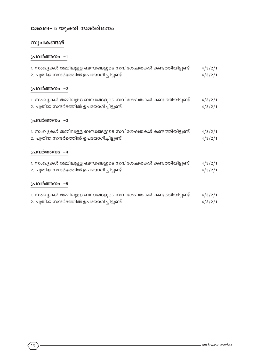# മേഖല- 5 യുക്തി സമർത്ഥനം

# സൂചകങ്ങൾ

# **{പവർത്തനം -1**

| 1. സംഖ്യകൾ തമ്മിലുള്ള ബന്ധങ്ങളുടെ സവിശേഷതകൾ കണ്ടത്തിയിട്ടുണ്ട് |         |  |
|----------------------------------------------------------------|---------|--|
| 2. പുതിയ സന്ദർഭത്തിൽ ഉപയോഗിച്ചിട്ടുണ്ട്                        | 4/3/2/1 |  |
| പ്രവർത്തനം −2                                                  |         |  |
| 1. സംഖ്യകൾ തമ്മിലുള്ള ബന്ധങ്ങളുടെ സവിശേഷതകൾ കണ്ടത്തിയിട്ടുണ്ട് | 4/3/2/1 |  |
| 2. പുതിയ സന്ദർഭത്തിൽ ഉപയോഗിച്ചിട്ടുണ്ട്                        | 4/3/2/1 |  |
| പ്രവർത്തനം −3                                                  |         |  |
| 1. സംഖ്യകൾ തമ്മിലുള്ള ബന്ധങ്ങളുടെ സവിശേഷതകൾ കണ്ടത്തിയിട്ടുണ്ട് | 4/3/2/1 |  |
| 2. പുതിയ സന്ദർഭത്തിൽ ഉപയോഗിച്ചിട്ടുണ്ട്                        | 4/3/2/1 |  |
| പ്രവർത്തനം −4                                                  |         |  |
| 1. സംഖ്യകൾ തമ്മിലുള്ള ബന്ധങ്ങളുടെ സവിശേഷതകൾ കണ്ടത്തിയിട്ടുണ്ട് | 4/3/2/1 |  |
| 2. പുതിയ സന്ദർഭത്തിൽ ഉപയോഗിച്ചിട്ടുണ്ട്                        | 4/3/2/1 |  |
| പ്രവർത്തനം -5                                                  |         |  |
| 1. സംഖ്യകൾ തമ്മിലുള്ള ബന്ധങ്ങളുടെ സവിശേഷതകൾ കണ്ടത്തിയിട്ടുണ്ട് | 4/3/2/1 |  |
| 2. പുതിയ സന്ദർഭത്തിൽ ഉപയോഗിച്ചിട്ടുണ്ട്                        | 4/3/2/1 |  |